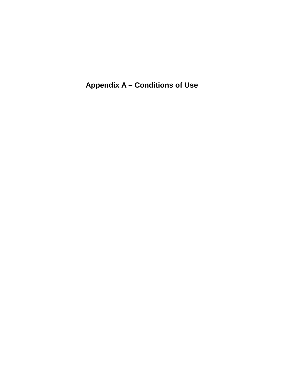**Appendix A – Conditions of Use**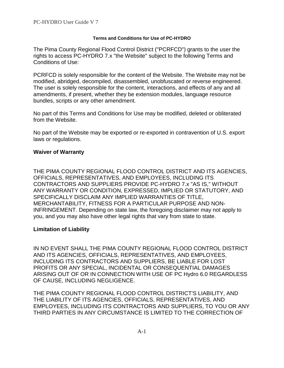#### **Terms and Conditions for Use of PC-HYDRO**

The Pima County Regional Flood Control District ("PCRFCD") grants to the user the rights to access PC-HYDRO 7.x "the Website" subject to the following Terms and Conditions of Use:

PCRFCD is solely responsible for the content of the Website. The Website may not be modified, abridged, decompiled, disassembled, unobfuscated or reverse engineered. The user is solely responsible for the content, interactions, and effects of any and all amendments, if present, whether they be extension modules, language resource bundles, scripts or any other amendment.

No part of this Terms and Conditions for Use may be modified, deleted or obliterated from the Website.

No part of the Website may be exported or re-exported in contravention of U.S. export laws or regulations.

### **Waiver of Warranty**

THE PIMA COUNTY REGIONAL FLOOD CONTROL DISTRICT AND ITS AGENCIES, OFFICIALS, REPRESENTATIVES, AND EMPLOYEES, INCLUDING ITS CONTRACTORS AND SUPPLIERS PROVIDE PC-HYDRO 7.x "AS IS," WITHOUT ANY WARRANTY OR CONDITION, EXPRESSED, IMPLIED OR STATUTORY, AND SPECIFICALLY DISCLAIM ANY IMPLIED WARRANTIES OF TITLE, MERCHANTABILITY, FITNESS FOR A PARTICULAR PURPOSE AND NON-INFRINGEMENT. Depending on state law, the foregoing disclaimer may not apply to you, and you may also have other legal rights that vary from state to state.

# **Limitation of Liability**

IN NO EVENT SHALL THE PIMA COUNTY REGIONAL FLOOD CONTROL DISTRICT AND ITS AGENCIES, OFFICIALS, REPRESENTATIVES, AND EMPLOYEES, INCLUDING ITS CONTRACTORS AND SUPPLIERS, BE LIABLE FOR LOST PROFITS OR ANY SPECIAL, INCIDENTAL OR CONSEQUENTIAL DAMAGES ARISING OUT OF OR IN CONNECTION WITH USE OF PC Hydro 6.0 REGARDLESS OF CAUSE, INCLUDING NEGLIGENCE.

THE PIMA COUNTY REGIONAL FLOOD CONTROL DISTRICT'S LIABILITY, AND THE LIABILITY OF ITS AGENCIES, OFFICIALS, REPRESENTATIVES, AND EMPLOYEES, INCLUDING ITS CONTRACTORS AND SUPPLIERS, TO YOU OR ANY THIRD PARTIES IN ANY CIRCUMSTANCE IS LIMITED TO THE CORRECTION OF